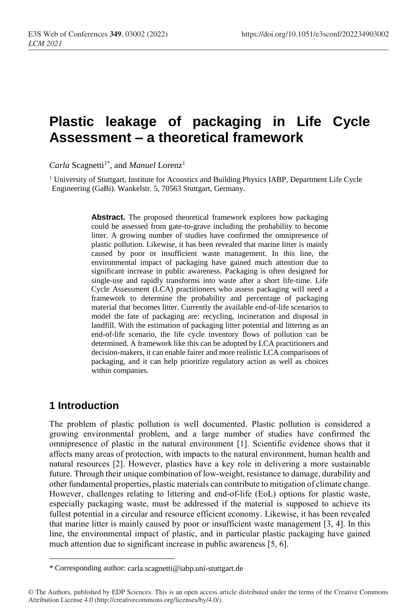# **Plastic leakage of packaging in Life Cycle Assessment – a theoretical framework**

Carla Scagnetti<sup>1\*</sup>, and *Manuel* Lorenz<sup>1</sup>

<sup>1</sup> University of Stuttgart, Institute for Acoustics and Building Physics IABP, Department Life Cycle Engineering (GaBi). Wankelstr. 5, 70563 Stuttgart, Germany.

> **Abstract.** The proposed theoretical framework explores how packaging could be assessed from gate-to-grave including the probability to become litter. A growing number of studies have confirmed the omnipresence of plastic pollution. Likewise, it has been revealed that marine litter is mainly caused by poor or insufficient waste management. In this line, the environmental impact of packaging have gained much attention due to significant increase in public awareness. Packaging is often designed for single-use and rapidly transforms into waste after a short life-time. Life Cycle Assessment (LCA) practitioners who assess packaging will need a framework to determine the probability and percentage of packaging material that becomes litter. Currently the available end-of-life scenarios to model the fate of packaging are: recycling, incineration and disposal in landfill. With the estimation of packaging litter potential and littering as an end-of-life scenario, the life cycle inventory flows of pollution can be determined. A framework like this can be adopted by LCA practitioners and decision-makers, it can enable fairer and more realistic LCA comparisons of packaging, and it can help prioritize regulatory action as well as choices within companies.

# **1 Introduction**

 $\overline{a}$ 

The problem of plastic pollution is well documented. Plastic pollution is considered a growing environmental problem, and a large number of studies have confirmed the omnipresence of plastic in the natural environment [1]. Scientific evidence shows that it affects many areas of protection, with impacts to the natural environment, human health and natural resources [2]. However, plastics have a key role in delivering a more sustainable future. Through their unique combination of low-weight, resistance to damage, durability and other fundamental properties, plastic materials can contribute to mitigation of climate change. However, challenges relating to littering and end-of-life (EoL) options for plastic waste, especially packaging waste, must be addressed if the material is supposed to achieve its fullest potential in a circular and resource efficient economy. Likewise, it has been revealed that marine litter is mainly caused by poor or insufficient waste management [3, 4]. In this line, the environmental impact of plastic, and in particular plastic packaging have gained much attention due to significant increase in public awareness [5, 6].

<sup>\*</sup> Corresponding author: carla.scagnetti@iabp.uni-stuttgart.de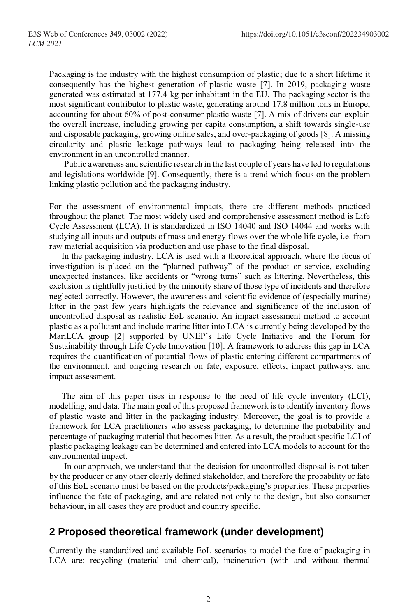Packaging is the industry with the highest consumption of plastic; due to a short lifetime it consequently has the highest generation of plastic waste [7]. In 2019, packaging waste generated was estimated at 177.4 kg per inhabitant in the EU. The packaging sector is the most significant contributor to plastic waste, generating around 17.8 million tons in Europe, accounting for about 60% of post-consumer plastic waste [7]. A mix of drivers can explain the overall increase, including growing per capita consumption, a shift towards single-use and disposable packaging, growing online sales, and over-packaging of goods [8]. A missing circularity and plastic leakage pathways lead to packaging being released into the environment in an uncontrolled manner.

Public awareness and scientific research in the last couple of years have led to regulations and legislations worldwide [9]. Consequently, there is a trend which focus on the problem linking plastic pollution and the packaging industry.

For the assessment of environmental impacts, there are different methods practiced throughout the planet. The most widely used and comprehensive assessment method is Life Cycle Assessment (LCA). It is standardized in ISO 14040 and ISO 14044 and works with studying all inputs and outputs of mass and energy flows over the whole life cycle, i.e. from raw material acquisition via production and use phase to the final disposal.

In the packaging industry, LCA is used with a theoretical approach, where the focus of investigation is placed on the "planned pathway" of the product or service, excluding unexpected instances, like accidents or "wrong turns" such as littering. Nevertheless, this exclusion is rightfully justified by the minority share of those type of incidents and therefore neglected correctly. However, the awareness and scientific evidence of (especially marine) litter in the past few years highlights the relevance and significance of the inclusion of uncontrolled disposal as realistic EoL scenario. An impact assessment method to account plastic as a pollutant and include marine litter into LCA is currently being developed by the MariLCA group [2] supported by UNEP's Life Cycle Initiative and the Forum for Sustainability through Life Cycle Innovation [10]. A framework to address this gap in LCA requires the quantification of potential flows of plastic entering different compartments of the environment, and ongoing research on fate, exposure, effects, impact pathways, and impact assessment.

The aim of this paper rises in response to the need of life cycle inventory (LCI), modelling, and data. The main goal of this proposed framework is to identify inventory flows of plastic waste and litter in the packaging industry. Moreover, the goal is to provide a framework for LCA practitioners who assess packaging, to determine the probability and percentage of packaging material that becomes litter. As a result, the product specific LCI of plastic packaging leakage can be determined and entered into LCA models to account for the environmental impact.

In our approach, we understand that the decision for uncontrolled disposal is not taken by the producer or any other clearly defined stakeholder, and therefore the probability or fate of this EoL scenario must be based on the products/packaging's properties. These properties influence the fate of packaging, and are related not only to the design, but also consumer behaviour, in all cases they are product and country specific.

### **2 Proposed theoretical framework (under development)**

Currently the standardized and available EoL scenarios to model the fate of packaging in LCA are: recycling (material and chemical), incineration (with and without thermal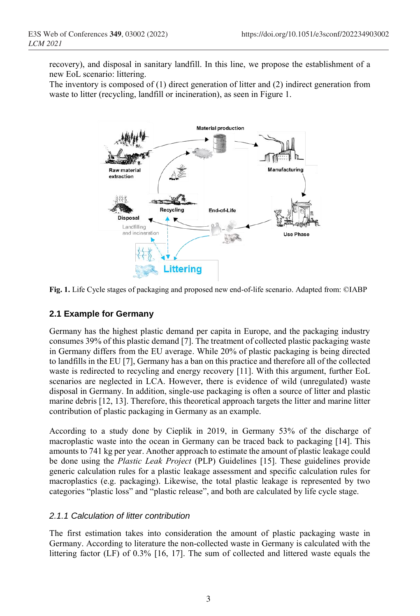recovery), and disposal in sanitary landfill. In this line, we propose the establishment of a new EoL scenario: littering.

The inventory is composed of (1) direct generation of litter and (2) indirect generation from waste to litter (recycling, landfill or incineration), as seen in Figure 1.



**Fig. 1.** Life Cycle stages of packaging and proposed new end-of-life scenario. Adapted from: ©IABP

#### **2.1 Example for Germany**

Germany has the highest plastic demand per capita in Europe, and the packaging industry consumes 39% of this plastic demand [7]. The treatment of collected plastic packaging waste in Germany differs from the EU average. While 20% of plastic packaging is being directed to landfills in the EU [7], Germany has a ban on this practice and therefore all of the collected waste is redirected to recycling and energy recovery [11]. With this argument, further EoL scenarios are neglected in LCA. However, there is evidence of wild (unregulated) waste disposal in Germany. In addition, single-use packaging is often a source of litter and plastic marine debris [12, 13]. Therefore, this theoretical approach targets the litter and marine litter contribution of plastic packaging in Germany as an example.

According to a study done by Cieplik in 2019, in Germany 53% of the discharge of macroplastic waste into the ocean in Germany can be traced back to packaging [14]. This amounts to 741 kg per year. Another approach to estimate the amount of plastic leakage could be done using the *Plastic Leak Project* (PLP) Guidelines [15]. These guidelines provide generic calculation rules for a plastic leakage assessment and specific calculation rules for macroplastics (e.g. packaging). Likewise, the total plastic leakage is represented by two categories "plastic loss" and "plastic release", and both are calculated by life cycle stage.

#### *2.1.1 Calculation of litter contribution*

The first estimation takes into consideration the amount of plastic packaging waste in Germany. According to literature the non-collected waste in Germany is calculated with the littering factor (LF) of 0.3% [16, 17]. The sum of collected and littered waste equals the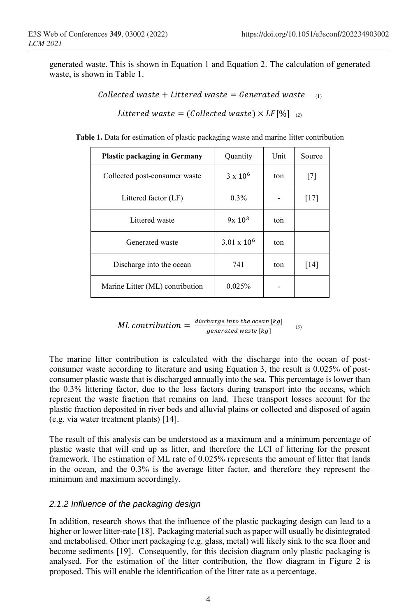generated waste. This is shown in Equation 1 and Equation 2. The calculation of generated waste, is shown in Table 1.

Collected waste + Littered waste =  $\theta$  Generated waste  $\theta$ 

Littered waste = (Collected waste)  $\times$  LF[%]  $(2)$ 

**Table 1.** Data for estimation of plastic packaging waste and marine litter contribution

| <b>Plastic packaging in Germany</b> | Quantity           | Unit | Source |
|-------------------------------------|--------------------|------|--------|
| Collected post-consumer waste       | $3 \times 10^6$    | ton  | [7]    |
| Littered factor (LF)                | $0.3\%$            |      | [17]   |
| Littered waste                      | $9x\ 10^3$         | ton  |        |
| Generated waste                     | $3.01 \times 10^6$ | ton  |        |
| Discharge into the ocean            | 741                | ton  | [14]   |
| Marine Litter (ML) contribution     | 0.025%             |      |        |

ML contribution  $=\frac{distance \text{ into the ocean } [kg]}{symm \times 1}$ generated waste [kg]  $(3)$ 

The marine litter contribution is calculated with the discharge into the ocean of postconsumer waste according to literature and using Equation 3, the result is 0.025% of postconsumer plastic waste that is discharged annually into the sea. This percentage is lower than the 0.3% littering factor, due to the loss factors during transport into the oceans, which represent the waste fraction that remains on land. These transport losses account for the plastic fraction deposited in river beds and alluvial plains or collected and disposed of again (e.g. via water treatment plants) [14].

The result of this analysis can be understood as a maximum and a minimum percentage of plastic waste that will end up as litter, and therefore the LCI of littering for the present framework. The estimation of ML rate of 0.025% represents the amount of litter that lands in the ocean, and the 0.3% is the average litter factor, and therefore they represent the minimum and maximum accordingly.

#### *2.1.2 Influence of the packaging design*

In addition, research shows that the influence of the plastic packaging design can lead to a higher or lower litter-rate [18]. Packaging material such as paper will usually be disintegrated and metabolised. Other inert packaging (e.g. glass, metal) will likely sink to the sea floor and become sediments [19]. Consequently, for this decision diagram only plastic packaging is analysed. For the estimation of the litter contribution, the flow diagram in Figure 2 is proposed. This will enable the identification of the litter rate as a percentage.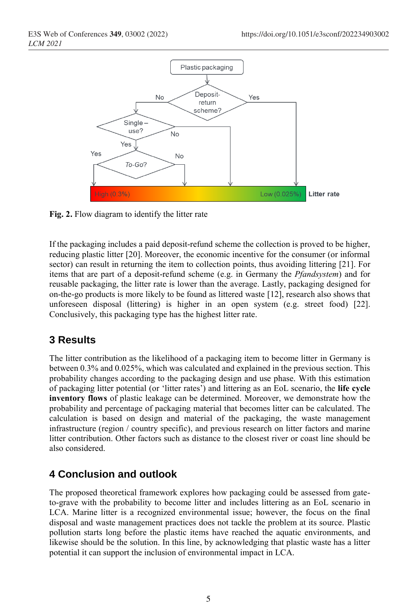

**Fig. 2.** Flow diagram to identify the litter rate

If the packaging includes a paid deposit-refund scheme the collection is proved to be higher, reducing plastic litter [20]. Moreover, the economic incentive for the consumer (or informal sector) can result in returning the item to collection points, thus avoiding littering [21]. For items that are part of a deposit-refund scheme (e.g. in Germany the *Pfandsystem*) and for reusable packaging, the litter rate is lower than the average. Lastly, packaging designed for on-the-go products is more likely to be found as littered waste [12], research also shows that unforeseen disposal (littering) is higher in an open system (e.g. street food) [22]. Conclusively, this packaging type has the highest litter rate.

# **3 Results**

The litter contribution as the likelihood of a packaging item to become litter in Germany is between 0.3% and 0.025%, which was calculated and explained in the previous section. This probability changes according to the packaging design and use phase. With this estimation of packaging litter potential (or 'litter rates') and littering as an EoL scenario, the **life cycle inventory flows** of plastic leakage can be determined. Moreover, we demonstrate how the probability and percentage of packaging material that becomes litter can be calculated. The calculation is based on design and material of the packaging, the waste management infrastructure (region / country specific), and previous research on litter factors and marine litter contribution. Other factors such as distance to the closest river or coast line should be also considered.

# **4 Conclusion and outlook**

The proposed theoretical framework explores how packaging could be assessed from gateto-grave with the probability to become litter and includes littering as an EoL scenario in LCA. Marine litter is a recognized environmental issue; however, the focus on the final disposal and waste management practices does not tackle the problem at its source. Plastic pollution starts long before the plastic items have reached the aquatic environments, and likewise should be the solution. In this line, by acknowledging that plastic waste has a litter potential it can support the inclusion of environmental impact in LCA.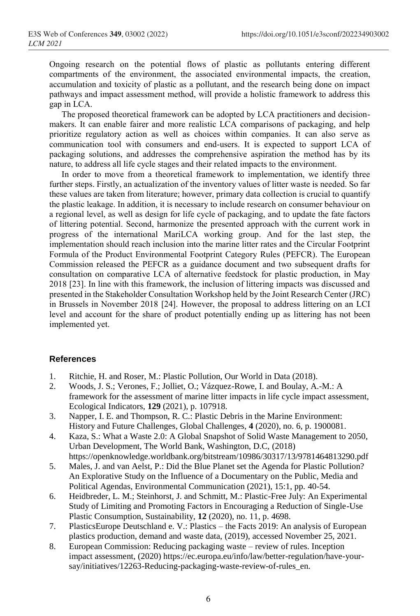Ongoing research on the potential flows of plastic as pollutants entering different compartments of the environment, the associated environmental impacts, the creation, accumulation and toxicity of plastic as a pollutant, and the research being done on impact pathways and impact assessment method, will provide a holistic framework to address this gap in LCA.

The proposed theoretical framework can be adopted by LCA practitioners and decisionmakers. It can enable fairer and more realistic LCA comparisons of packaging, and help prioritize regulatory action as well as choices within companies. It can also serve as communication tool with consumers and end-users. It is expected to support LCA of packaging solutions, and addresses the comprehensive aspiration the method has by its nature, to address all life cycle stages and their related impacts to the environment.

In order to move from a theoretical framework to implementation, we identify three further steps. Firstly, an actualization of the inventory values of litter waste is needed. So far these values are taken from literature; however, primary data collection is crucial to quantify the plastic leakage. In addition, it is necessary to include research on consumer behaviour on a regional level, as well as design for life cycle of packaging, and to update the fate factors of littering potential. Second, harmonize the presented approach with the current work in progress of the international MariLCA working group. And for the last step, the implementation should reach inclusion into the marine litter rates and the Circular Footprint Formula of the Product Environmental Footprint Category Rules (PEFCR). The European Commission released the PEFCR as a guidance document and two subsequent drafts for consultation on comparative LCA of alternative feedstock for plastic production, in May 2018 [23]. In line with this framework, the inclusion of littering impacts was discussed and presented in the Stakeholder Consultation Workshop held by the Joint Research Center (JRC) in Brussels in November 2018 [24]. However, the proposal to address littering on an LCI level and account for the share of product potentially ending up as littering has not been implemented yet.

#### **References**

- 1. Ritchie, H. and Roser, M.: Plastic Pollution, Our World in Data (2018).
- 2. Woods, J. S.; Verones, F.; Jolliet, O.; Vázquez-Rowe, I. and Boulay, A.-M.: A framework for the assessment of marine litter impacts in life cycle impact assessment, Ecological Indicators, **129** (2021), p. 107918.
- 3. Napper, I. E. and Thompson, R. C.: Plastic Debris in the Marine Environment: History and Future Challenges, Global Challenges, **4** (2020), no. 6, p. 1900081.
- 4. Kaza, S.: What a Waste 2.0: A Global Snapshot of Solid Waste Management to 2050, Urban Development, The World Bank, Washington, D.C, (2018) https://openknowledge.worldbank.org/bitstream/10986/30317/13/9781464813290.pdf
- 5. Males, J. and van Aelst, P.: Did the Blue Planet set the Agenda for Plastic Pollution? An Explorative Study on the Influence of a Documentary on the Public, Media and Political Agendas, Environmental Communication (2021), 15:1, pp. 40-54.
- 6. Heidbreder, L. M.; Steinhorst, J. and Schmitt, M.: Plastic-Free July: An Experimental Study of Limiting and Promoting Factors in Encouraging a Reduction of Single-Use Plastic Consumption, Sustainability, **12** (2020), no. 11, p. 4698.
- 7. PlasticsEurope Deutschland e. V.: Plastics the Facts 2019: An analysis of European plastics production, demand and waste data, (2019), accessed November 25, 2021.
- 8. European Commission: Reducing packaging waste review of rules. Inception impact assessment, (2020) https://ec.europa.eu/info/law/better-regulation/have-yoursay/initiatives/12263-Reducing-packaging-waste-review-of-rules\_en.